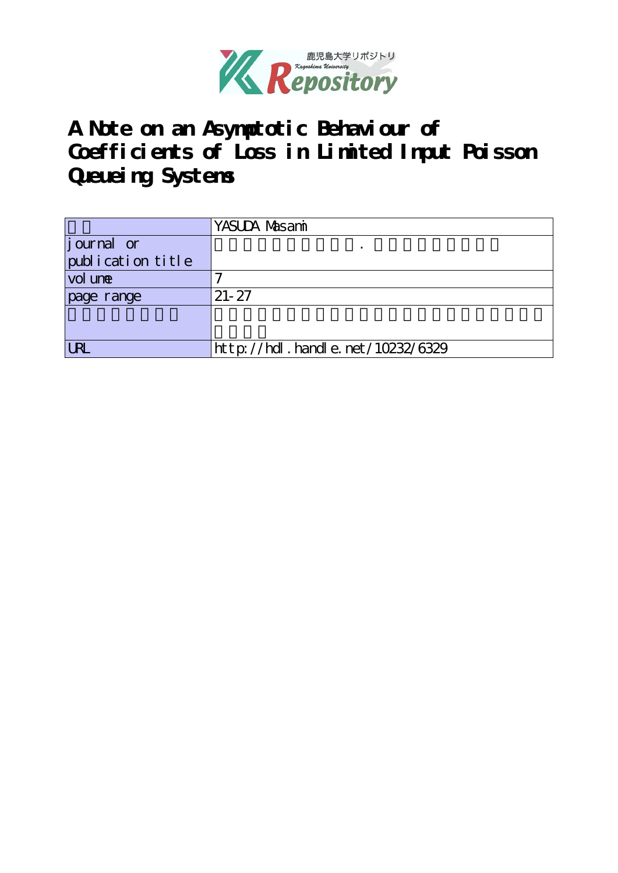

**A Note on an Asymptotic Behaviour of Coefficients of Loss in Limited Input Poisson Queueing Systems**

|                   | YASUDA Masami                    |
|-------------------|----------------------------------|
| journal or        |                                  |
| publication title |                                  |
| vol une           |                                  |
| page range        | $21 - 27$                        |
|                   |                                  |
|                   |                                  |
| <b>LRL</b>        | http://hdl.handle.net/10232/6329 |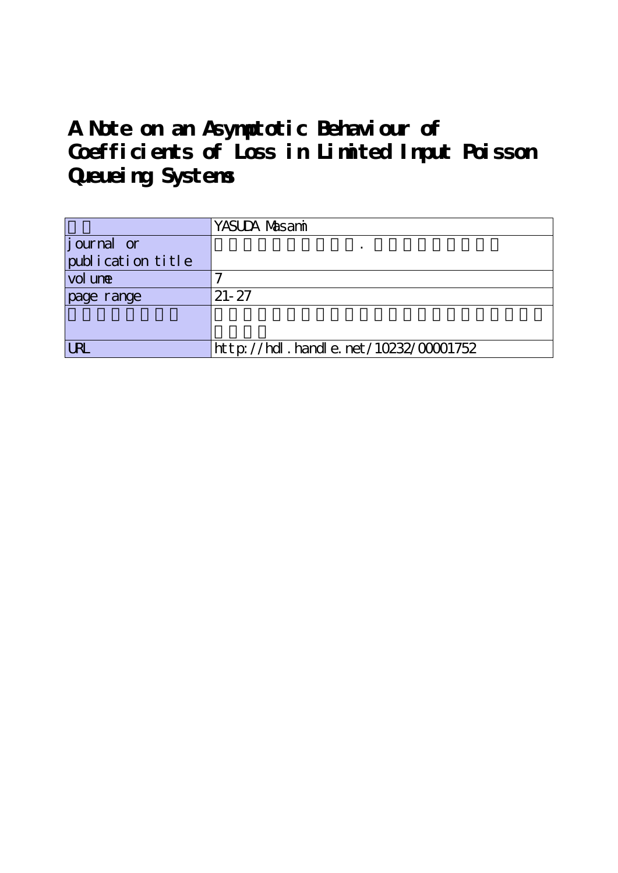# **A Note on an Asymptotic Behaviour of Coefficients of Loss in Limited Input Poisson Queueing Systems**

|                    | YASUDA Masami                             |
|--------------------|-------------------------------------------|
| <i>j</i> ournal or |                                           |
| publication title  |                                           |
| vol une            |                                           |
| page range         | $21 - 27$                                 |
|                    |                                           |
|                    |                                           |
| <b>URL</b>         | $http$ ://hdl. handle. net/10232/00001752 |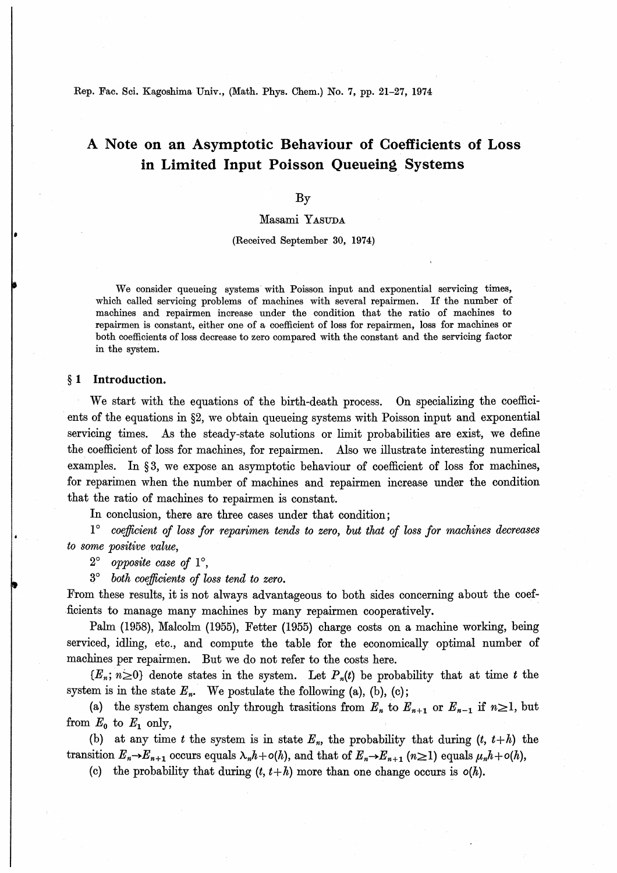Rep. Fac. Sci. Kagoshima Univ., (Math. Phys. Chem.) No. 7, pp. 21-27, 1974

# A Note on an Asymptotic Behaviour of Coefficients of Loss in Limited Input Poisson Queueing Systems

### By

## Masami YASUDA

#### (Received September 30, 1974)

We consider queueing systems with Poisson input and exponential servicing times which called servicing problems of machines with several repairmen. If the number of machines and repairmen increase under the condition that the ratio of machines to repairmen is constant, either one of a coefficient of loss for repairmen, loss for machines or both coefficients of loss decrease to zero compared with the constant and the servicing factor in the system.

### § 1 Introduction.

We start with the equations of the birth-death process. On specializing the coefficients of the equations in §2, we obtain queueing systems with Poisson input and exponential servicing times. As the steady-state solutions or limit probabilities are exist, we define the coefficient of loss for machines, for repairmen. Also we illustrate interesting numerical examples. In  $\S 3$ , we expose an asymptotic behaviour of coefficient of loss for machines, for reparimen when the number of machines and repairmen increase under the condition that the ratio of machines to repairmen is constant.

In conclusion, there are three cases under that condition;

 $1^{\circ}$  coefficient of loss for reparimen tends to zero, but that of loss for machines decreases to some positive value,

 $2^{\circ}$  opposite case of  $1^{\circ}$ .

等 both coefficients of loss tend to zero.

From these results, it is not always advantageous to both sides concerning about the coefficients to manage many machines by many repairmen cooperatively.

Palm (1958), Malcolm (1955), Fetter (1955) charge costs on a machine working, being serviced, idling, etc., and compute the table for the economically optimal number of machines per repairmen. But we do not refer to the costs here.

 ${E_n; n \geq 0}$  denote states in the system. Let  $P_n(t)$  be probability that at time t the system is in the state  $E_n$ . We postulate the following (a), (b), (c);

(a) the system changes only through trasitions from  $E_n$  to  $E_{n+1}$  or  $E_{n-1}$  if  $n\geq 1$ , but from  $E_0$  to  $E_1$  only,

(b) at any time t the system is in state  $E_n$ , the probability that during  $(t, t+h)$  the transition  $E_n\rightarrow E_{n+1}$  occurs equals  $\lambda_n h+o(h)$ , and that of  $E_n\rightarrow E_{n+1}$   $(n\geq 1)$  equals  $\mu_n h+o(h)$ ,

(c) the probability that during  $(t, t+h)$  more than one change occurs is  $o(h)$ .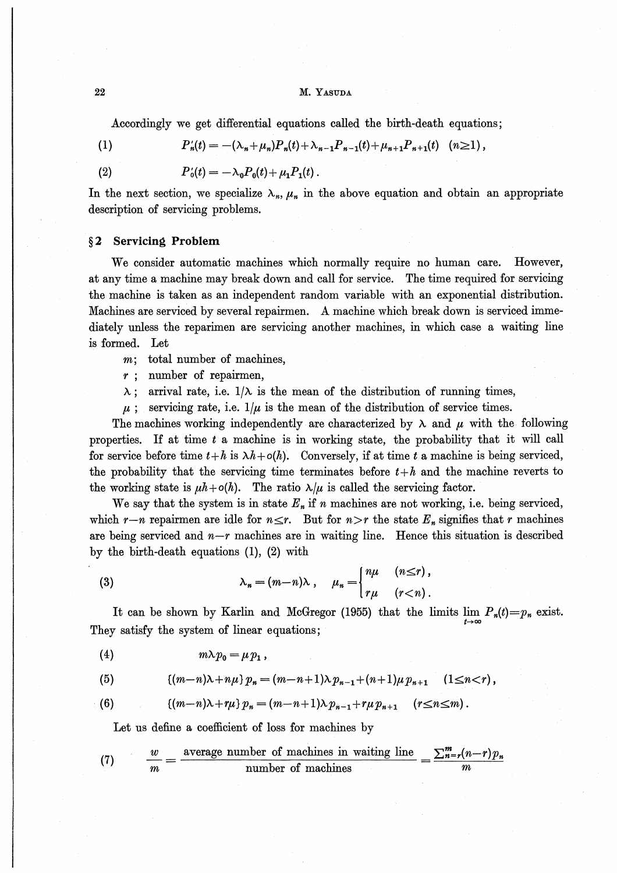#### M. YASUDA

 $P_n'(t) = -(\lambda_n + \mu_n)P_n(t) + \lambda_{n-1}P_{n-1}(t) + \mu_{n+1}P_{n+1}(t)$  (n  $\geq 1$ ),

Accordingly we get differential equations called the birth-death equations;

 $(1)$ 

 $(2)$ 

$$
P'_{0}(t)=-\lambda_{0}P_{0}(t)+\mu_{1}P_{1}(t).
$$

In the next section, we specialize  $\lambda_n$ ,  $\mu_n$  in the above equation and obtain an appropriate description of servicing problems.

#### **Servicing Problem**  $\S 2$

We consider automatic machines which normally require no human care. However. at any time a machine may break down and call for service. The time required for servicing the machine is taken as an independent random variable with an exponential distribution. Machines are serviced by several repairmen. A machine which break down is serviced immediately unless the reparimen are servicing another machines, in which case a waiting line is formed. Let

- total number of machines.  $m$ :
- $r$ ; number of repairmen,
- $\lambda$ ; arrival rate, i.e.  $1/\lambda$  is the mean of the distribution of running times,
- $\mu$ ; servicing rate, i.e.  $1/\mu$  is the mean of the distribution of service times.

The machines working independently are characterized by  $\lambda$  and  $\mu$  with the following properties. If at time  $t$  a machine is in working state, the probability that it will call for service before time  $t+h$  is  $\lambda h+o(h)$ . Conversely, if at time t a machine is being serviced, the probability that the servicing time terminates before  $t+h$  and the machine reverts to the working state is  $\mu h + o(h)$ . The ratio  $\lambda/\mu$  is called the servicing factor.

We say that the system is in state  $E_n$  if n machines are not working, i.e. being serviced, which  $r-n$  repairmen are idle for  $n \le r$ . But for  $n > r$  the state  $E_n$  signifies that r machines are being serviced and  $n-r$  machines are in waiting line. Hence this situation is described by the birth-death equations  $(1)$ ,  $(2)$  with

(3) 
$$
\lambda_n = (m-n)\lambda, \quad \mu_n = \begin{cases} n\mu & (n \leq r), \\ r\mu & (r < n). \end{cases}
$$

It can be shown by Karlin and McGregor (1955) that the limits  $\lim_{t\to\infty} P_n(t) = p_n$  exist. They satisfy the system of linear equations;

(5) 
$$
[(m-n)\lambda+n\mu] p_n = (m-n+1)\lambda p_{n-1}+(n+1)\mu p_{n+1} \quad (1 \leq n < r),
$$

(6) 
$$
\{(m-n)\lambda+r\mu\}p_n=(m-n+1)\lambda p_{n-1}+r\mu p_{n+1} \quad (r\leq n\leq m).
$$

Let us define a coefficient of loss for machines by

(7) 
$$
\frac{w}{m} = \frac{\text{average number of machines in waiting line}}{\text{number of machines}} = \frac{\sum_{n=r}^{m} (n-r)p_n}{m}
$$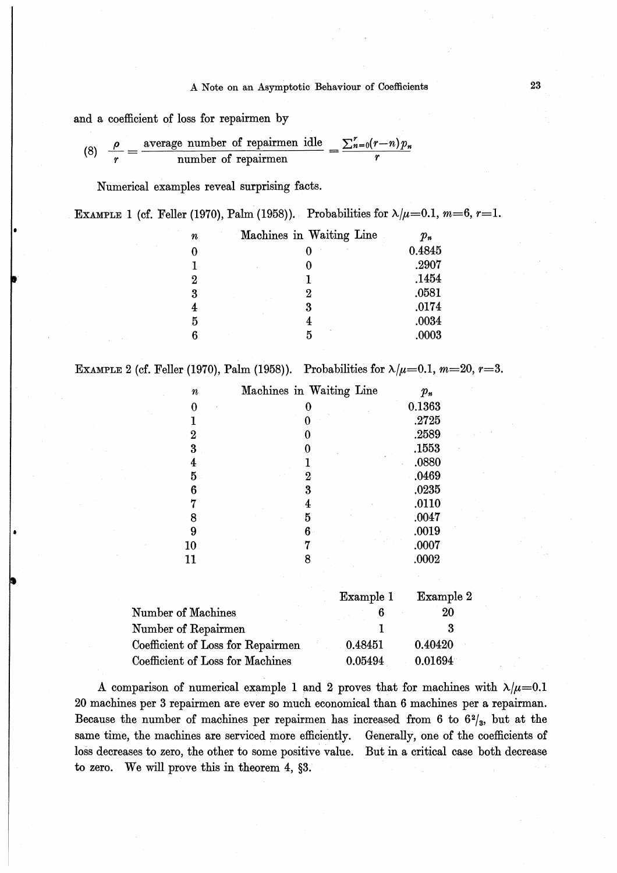#### A Note on an Asymptotic Behaviour of Coefficients

and a coefficient of loss for repairmen by

(8) 
$$
\frac{\rho}{r} = \frac{\text{average number of repairmen idle}}{\text{number of repairmen}} = \frac{\sum_{n=0}^{r} (r-n)p_n}{r}
$$

Numerical examples reveal surprising facts.

| EXAMPLE 1 (cf. Feller (1970), Palm (1958)). Probabilities for $\lambda/\mu=0.1$ , $m=6$ , $r=1$ . |  |  |  |  |  |  |
|---------------------------------------------------------------------------------------------------|--|--|--|--|--|--|
|---------------------------------------------------------------------------------------------------|--|--|--|--|--|--|

| п | Machines in Waiting Line | $p_n$  |
|---|--------------------------|--------|
|   |                          | 0.4845 |
|   |                          | .2907  |
| 2 |                          | .1454  |
| 3 | 2                        | .0581  |
| 4 | 3                        | .0174  |
| 5 |                          | .0034  |
| 6 | 5                        | .0003  |
|   |                          |        |

EXAMPLE 2 (cf. Feller (1970), Palm (1958)). Probabilities for  $\lambda/\mu = 0.1$ ,  $m = 20$ ,  $r = 3$ .

| $\pmb{n}$               | Machines in Waiting Line | $p_n$  |
|-------------------------|--------------------------|--------|
| 0                       |                          | 0.1363 |
| 1                       |                          | .2725  |
| $\boldsymbol{2}$        |                          | .2589  |
| $\overline{\mathbf{3}}$ |                          | .1553  |
| 4                       |                          | .0880  |
| 5                       | 2                        | .0469  |
| 6                       | 3                        | .0235  |
| 7                       | 4                        | .0110  |
| 8                       | 5                        | .0047  |
| 9                       | 6                        | .0019  |
| 10                      |                          | .0007  |
| 11                      |                          | .0002  |
|                         |                          |        |

|                                   | Example 1 | Example 2 |
|-----------------------------------|-----------|-----------|
| Number of Machines                |           | 20        |
| Number of Repairmen               |           | 3         |
| Coefficient of Loss for Repairmen | 0.48451   | 0.40420   |
| Coefficient of Loss for Machines  | 0.05494   | 0.01694   |

A comparison of numerical example 1 and 2 proves that for machines with  $\lambda/\mu=0.1$ 20 machines per 3 repairmen are ever so much economical than 6 machines per a repairman. Because the number of machines per repairmen has increased from 6 to  $6\frac{2}{3}$ , but at the same time, the machines are serviced more efficiently. Generally, one of the coefficients of loss decreases to zero, the other to some positive value. But in a critical case both decrease to zero. We will prove this in theorem 4, §3.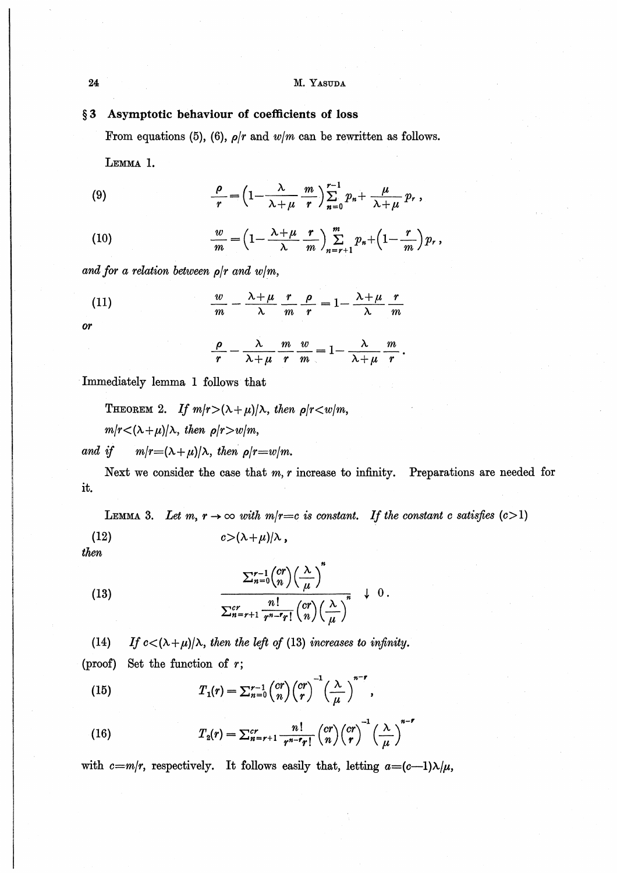M. YASUDA

#### Asymptotic behaviour of coefficients of loss  $§ 3$

From equations (5), (6),  $\rho/r$  and  $w/m$  can be rewritten as follows.

LEMMA 1.

(9) 
$$
\frac{\rho}{r} = \left(1 - \frac{\lambda}{\lambda + \mu} \frac{m}{r}\right) \sum_{n=0}^{r-1} p_n + \frac{\mu}{\lambda + \mu} p_r,
$$

(10) 
$$
\frac{w}{m} = \left(1 - \frac{\lambda + \mu}{\lambda} \frac{r}{m}\right) \sum_{n=r+1}^{m} p_n + \left(1 - \frac{r}{m}\right) p_r,
$$

and for a relation between  $\rho/r$  and  $w/m$ ,

(11) 
$$
\frac{w}{m} - \frac{\lambda + \mu}{\lambda} \frac{r}{m} \frac{\rho}{r} = 1 - \frac{\lambda + \mu}{\lambda} \frac{r}{m}
$$

or

$$
\frac{\rho}{r} - \frac{\lambda}{\lambda + \mu} \frac{m}{r} \frac{w}{m} = 1 - \frac{\lambda}{\lambda + \mu} \frac{m}{r}
$$

Immediately lemma 1 follows that

THEOREM 2. If  $m/r > (\lambda + \mu)/\lambda$ , then  $\rho/r < w/m$ ,  $m/r < (\lambda + \mu)/\lambda$ , then  $\rho/r > w/m$ ,

 $m/r = (\lambda + \mu)/\lambda$ , then  $\rho/r = w/m$ . and if

Next we consider the case that  $m, r$  increase to infinity. Preparations are needed for it.

LEMMA 3. Let m,  $r \to \infty$  with  $m/r = c$  is constant. If the constant c satisfies  $(c>1)$  $c > (\lambda + \mu)/\lambda$ ,  $(12)$ 

then

(13) 
$$
\frac{\sum_{n=0}^{r-1} {cr \choose n} \left(\frac{\lambda}{\mu}\right)^n}{\sum_{n=r+1}^{cr} \frac{n!}{r^{n-r}r!} {cr \choose n} \left(\frac{\lambda}{\mu}\right)^n} \downarrow 0.
$$

If  $c < (\lambda + \mu)/\lambda$ , then the left of (13) increases to infinity.  $(14)$ (proof) Set the function of  $r$ ;

(15) 
$$
T_1(r) = \sum_{n=0}^{r-1} {cr \choose n} {cr \choose r}^{-1} \left(\frac{\lambda}{\mu}\right)^{n-r},
$$

(16) 
$$
T_2(r) = \sum_{n=r+1}^{cr} \frac{n!}{r^{n-r}r!} {cr \choose n} {cr \choose r}^{-1} \left(\frac{\lambda}{\mu}\right)^{n-r}
$$

with c=m/r, respectively. It follows easily that, letting  $a=(c-1)\lambda/\mu$ ,

24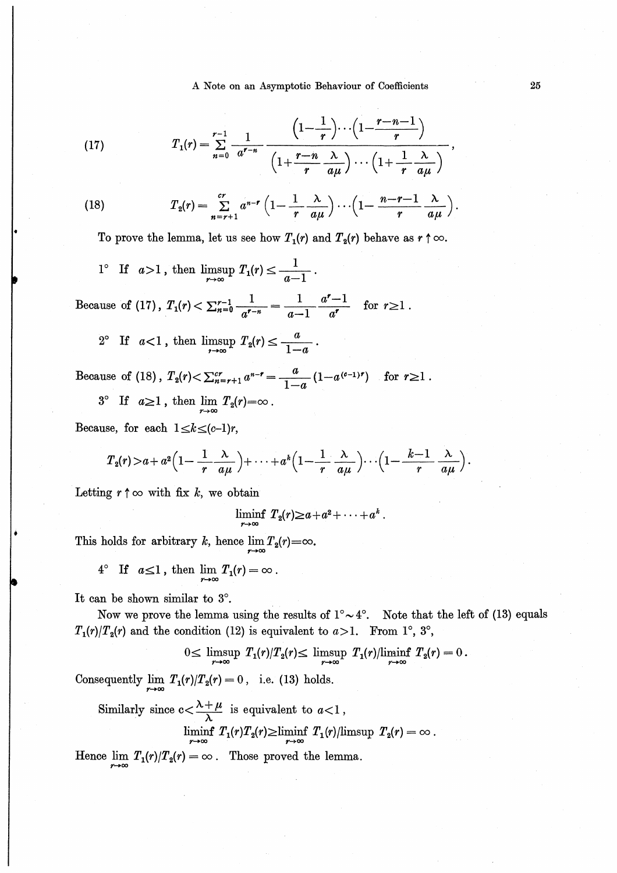A Note on an Asymptotic Behaviour of Coefficients

(17) 
$$
T_1(r) = \sum_{n=0}^{r-1} \frac{1}{a^{r-n}} \frac{\left(1 - \frac{1}{r}\right) \cdots \left(1 - \frac{r-n-1}{r}\right)}{\left(1 + \frac{r-n}{r} \frac{\lambda}{a\mu}\right) \cdots \left(1 + \frac{1}{r} \frac{\lambda}{a\mu}\right)}
$$

(18) 
$$
T_2(r) = \sum_{n=r+1}^{cr} a^{n-r} \left(1 - \frac{1}{r} \frac{\lambda}{a\mu}\right) \cdots \left(1 - \frac{n-r-1}{r} \frac{\lambda}{a\mu}\right).
$$

To prove the lemma, let us see how  $T_1(r)$  and  $T_2(r)$  behave as  $r \uparrow \infty$ .

1<sup>°</sup> If 
$$
a>1
$$
, then  $\limsup_{r\to\infty} T_1(r) \leq \frac{1}{a-1}$ .

Because of (17),  $T_1(r) < \sum_{n=0}^{r-1} \frac{1}{a^{r-n}} = \frac{1}{a-1} \frac{a^r - 1}{a^r}$  for  $r \ge 1$ .

2<sup>°</sup> If 
$$
a<1
$$
, then  $\limsup_{r\to\infty} T_2(r) \leq \frac{a}{1-a}$ 

Because of (18),  $T_2(r) < \sum_{n=r+1}^{cr} a^{n-r} = \frac{a}{1-a} (1-a^{(c-1)r})$  for  $r \ge 1$ .  $3^{\circ}$  If  $a \ge 1$ , then  $\lim_{r \to \infty} T_2(r) = \infty$ .

Because, for each  $1 \le k \le (c-1)r$ ,

$$
T_2(r) > a + a^2 \left(1 - \frac{1}{r} \frac{\lambda}{a\mu}\right) + \cdots + a^k \left(1 - \frac{1}{r} \frac{\lambda}{a\mu}\right) \cdots \left(1 - \frac{k-1}{r} \frac{\lambda}{a\mu}\right).
$$

Letting  $r \uparrow \infty$  with fix k, we obtain

$$
\liminf_{r\to\infty} T_2(r) \geq a+a^2+\cdots+a^k.
$$

This holds for arbitrary k, hence  $\lim_{r\to\infty}T_2(r) = \infty$ .

$$
4^{\circ} \text{ If } a \leq 1, \text{ then } \lim_{r \to \infty} T_1(r) = \infty.
$$

It can be shown similar to 3°.

Now we prove the lemma using the results of  $1^{\circ} \sim 4^{\circ}$ . Note that the left of (13) equals  $T_1(r)/T_2(r)$  and the condition (12) is equivalent to  $a>1$ . From 1°, 3°,

$$
0 \leq \limsup_{r \to \infty} T_1(r)/T_2(r) \leq \limsup_{r \to \infty} T_1(r)/\liminf_{r \to \infty} T_2(r) = 0
$$

Consequently  $\lim_{r\to\infty} T_1(r)/T_2(r) = 0$ , i.e. (13) holds.

Similarly since 
$$
c < \frac{\lambda + \mu}{\lambda}
$$
 is equivalent to  $a < 1$ ,  
\n
$$
\liminf_{r \to \infty} T_1(r) T_2(r) \geq \liminf_{r \to \infty} T_1(r) / \limsup_{r \to \infty} T_2(r) = \infty.
$$

Hence  $\lim_{r \to \infty} T_1(r)/T_2(r) = \infty$ . Those proved the lemma.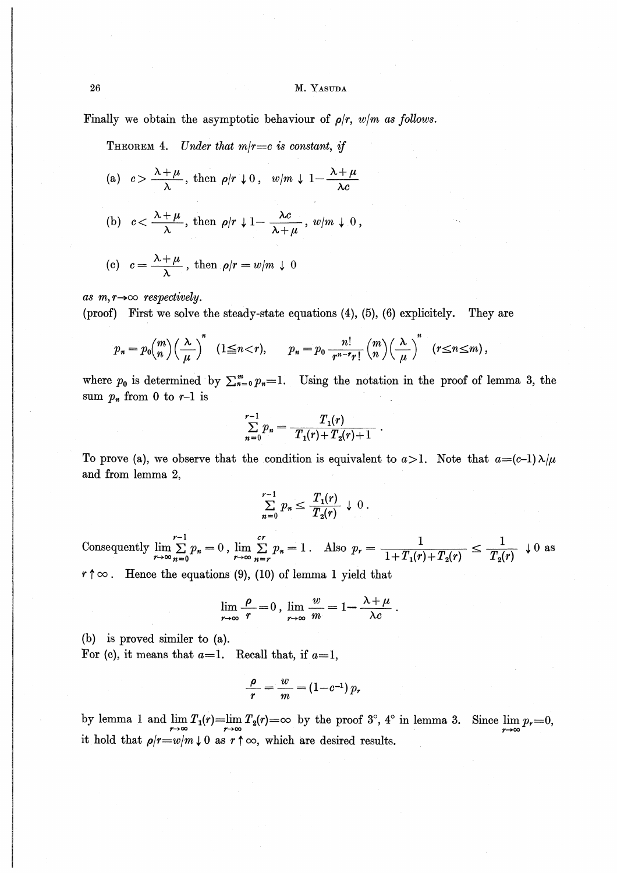Finally we obtain the asymptotic behaviour of  $\rho/r$ ,  $w/m$  as follows.

THEOREM 4. Under that  $m/r = c$  is constant, if

(a) 
$$
c > \frac{\lambda + \mu}{\lambda}
$$
, then  $\rho/r \downarrow 0$ ,  $w/m \downarrow 1 - \frac{\lambda + \mu}{\lambda c}$ 

(b) 
$$
c < \frac{\lambda + \mu}{\lambda}
$$
, then  $\rho/r \downarrow 1 - \frac{\lambda c}{\lambda + \mu}$ ,  $w/m \downarrow 0$ ,

(c) 
$$
c = \frac{\lambda + \mu}{\lambda}
$$
, then  $\rho/r = w/m \downarrow 0$ 

as  $m, r \rightarrow \infty$  respectively.

(proof) First we solve the steady-state equations  $(4)$ ,  $(5)$ ,  $(6)$  explicitely. They are

$$
p_n = p_0 \binom{m}{n} \left(\frac{\lambda}{\mu}\right)^n \quad (1 \leq n < r), \qquad p_n = p_0 \frac{n!}{r^{n-r}r!} \binom{m}{n} \left(\frac{\lambda}{\mu}\right)^n \quad (r \leq n \leq m),
$$

where  $p_0$  is determined by  $\sum_{n=0}^m p_n = 1$ . Using the notation in the proof of lemma 3, the sum  $p_n$  from 0 to  $r-1$  is

$$
\sum_{n=0}^{r-1} p_n = \frac{T_1(r)}{T_1(r) + T_2(r) + 1}
$$

To prove (a), we observe that the condition is equivalent to  $a > 1$ . Note that  $a = (c-1)\lambda/\mu$ and from lemma 2.

$$
\sum_{n=0}^{r-1} p_n \leq \frac{T_1(r)}{T_2(r)} \downarrow 0.
$$

Consequently  $\lim_{r\to\infty}\sum_{n=0}^{r-1}p_n=0$ ,  $\lim_{r\to\infty}\sum_{n=r}^{cr}p_n=1$ . Also  $p_r=\frac{1}{1+T_1(r)+T_2(r)}\leq \frac{1}{T_2(r)}\downarrow 0$  as  $r \uparrow \infty$ . Hence the equations (9), (10) of lemma 1 yield that

$$
\lim_{r \to \infty} \frac{\rho}{r} = 0, \lim_{r \to \infty} \frac{w}{m} = 1 - \frac{\lambda + \mu}{\lambda c}
$$

(b) is proved similar to  $(a)$ .

For (c), it means that  $a=1$ . Recall that, if  $a=1$ ,

$$
\frac{\rho}{r} = \frac{w}{m} = (1 - c^{-1}) p_r
$$

by lemma 1 and  $\lim_{r\to\infty}T_1(r) = \lim_{r\to\infty}T_2(r) = \infty$  by the proof 3°, 4° in lemma 3. Since  $\lim_{r\to\infty}p_r = 0$ , it hold that  $\rho/r = w/m \downarrow 0$  as  $r \uparrow \infty$ , which are desired results.

26